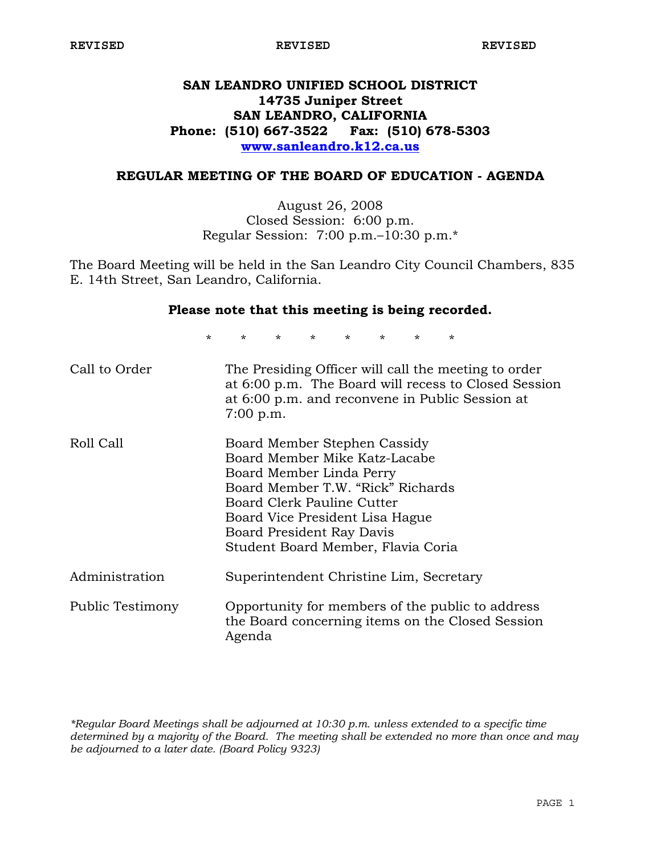## **SAN LEANDRO UNIFIED SCHOOL DISTRICT 14735 Juniper Street SAN LEANDRO, CALIFORNIA Phone: (510) 667-3522 Fax: (510) 678-5303 www.sanleandro.k12.ca.us**

## **REGULAR MEETING OF THE BOARD OF EDUCATION - AGENDA**

August 26, 2008 Closed Session: 6:00 p.m. Regular Session: 7:00 p.m.–10:30 p.m.\*

The Board Meeting will be held in the San Leandro City Council Chambers, 835 E. 14th Street, San Leandro, California.

## **Please note that this meeting is being recorded.**

\* \* \* \* \* \* \* \*

| Call to Order    | The Presiding Officer will call the meeting to order<br>at 6:00 p.m. The Board will recess to Closed Session<br>at 6:00 p.m. and reconvene in Public Session at<br>$7:00$ p.m.                                                                                     |
|------------------|--------------------------------------------------------------------------------------------------------------------------------------------------------------------------------------------------------------------------------------------------------------------|
| Roll Call        | Board Member Stephen Cassidy<br>Board Member Mike Katz-Lacabe<br>Board Member Linda Perry<br>Board Member T.W. "Rick" Richards<br>Board Clerk Pauline Cutter<br>Board Vice President Lisa Hague<br>Board President Ray Davis<br>Student Board Member, Flavia Coria |
| Administration   | Superintendent Christine Lim, Secretary                                                                                                                                                                                                                            |
| Public Testimony | Opportunity for members of the public to address<br>the Board concerning items on the Closed Session<br>Agenda                                                                                                                                                     |

*\*Regular Board Meetings shall be adjourned at 10:30 p.m. unless extended to a specific time determined by a majority of the Board. The meeting shall be extended no more than once and may be adjourned to a later date. (Board Policy 9323)*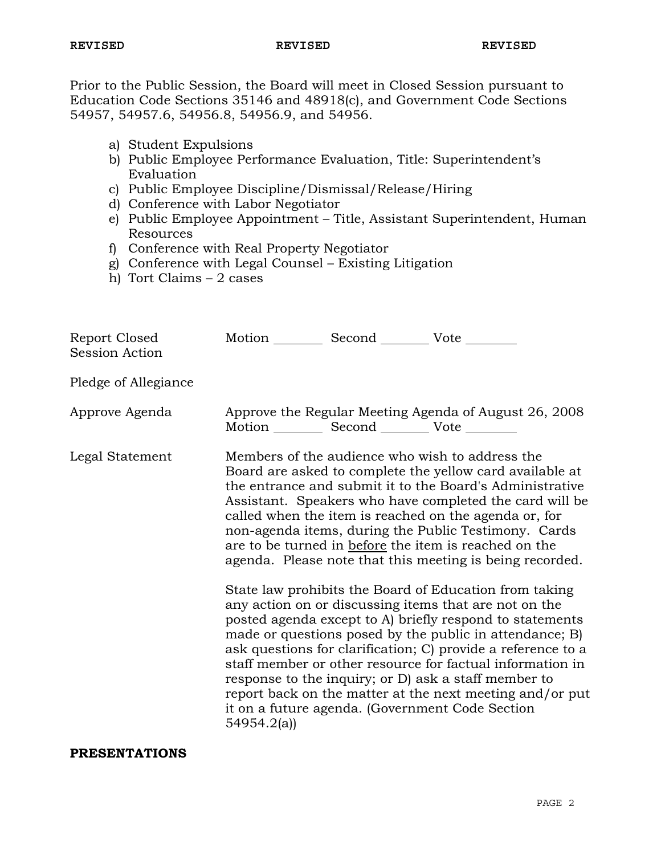Prior to the Public Session, the Board will meet in Closed Session pursuant to Education Code Sections 35146 and 48918(c), and Government Code Sections 54957, 54957.6, 54956.8, 54956.9, and 54956.

- a) Student Expulsions
- b) Public Employee Performance Evaluation, Title: Superintendent's Evaluation
- c) Public Employee Discipline/Dismissal/Release/Hiring
- d) Conference with Labor Negotiator
- e) Public Employee Appointment Title, Assistant Superintendent, Human Resources
- f) Conference with Real Property Negotiator
- g) Conference with Legal Counsel Existing Litigation
- h) Tort Claims 2 cases

| Report Closed<br>Session Action | Motion __________ Second __________ Vote ________     |                                                                                                                                                                                                                                                                                                                                                                                                                                                                                                                                                                                                                                                         |
|---------------------------------|-------------------------------------------------------|---------------------------------------------------------------------------------------------------------------------------------------------------------------------------------------------------------------------------------------------------------------------------------------------------------------------------------------------------------------------------------------------------------------------------------------------------------------------------------------------------------------------------------------------------------------------------------------------------------------------------------------------------------|
| Pledge of Allegiance            |                                                       |                                                                                                                                                                                                                                                                                                                                                                                                                                                                                                                                                                                                                                                         |
| Approve Agenda                  | Motion ___________ Second ____________ Vote _________ | Approve the Regular Meeting Agenda of August 26, 2008                                                                                                                                                                                                                                                                                                                                                                                                                                                                                                                                                                                                   |
| Legal Statement                 |                                                       | Members of the audience who wish to address the<br>Board are asked to complete the yellow card available at<br>the entrance and submit it to the Board's Administrative<br>Assistant. Speakers who have completed the card will be<br>called when the item is reached on the agenda or, for<br>non-agenda items, during the Public Testimony. Cards<br>are to be turned in before the item is reached on the<br>agenda. Please note that this meeting is being recorded.<br>State law prohibits the Board of Education from taking<br>any action on or discussing items that are not on the<br>posted agenda except to A) briefly respond to statements |
|                                 | 54954.2(a)                                            | made or questions posed by the public in attendance; B)<br>ask questions for clarification; C) provide a reference to a<br>staff member or other resource for factual information in<br>response to the inquiry; or D) ask a staff member to<br>report back on the matter at the next meeting and/or put<br>it on a future agenda. (Government Code Section                                                                                                                                                                                                                                                                                             |

## **PRESENTATIONS**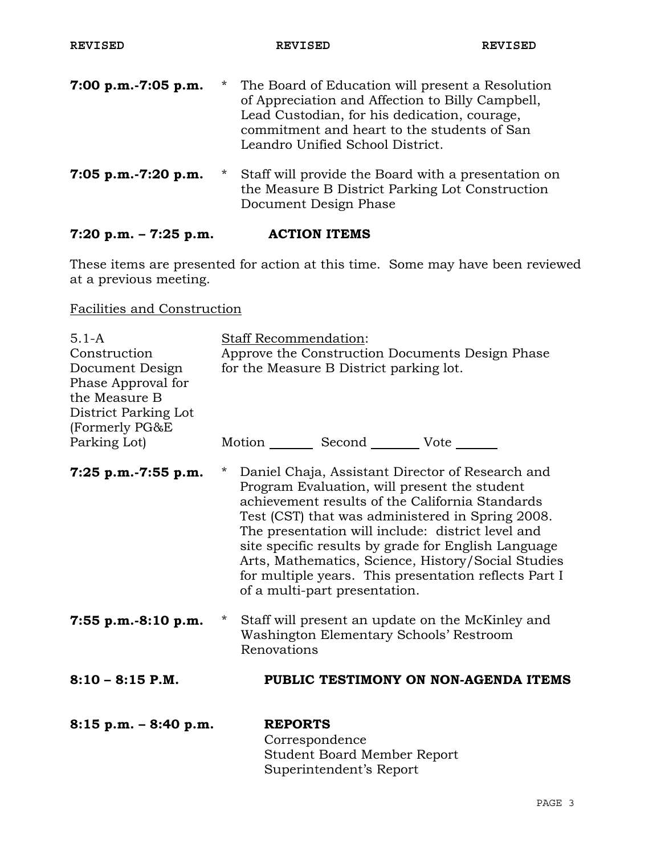| 7:00 p.m.-7:05 p.m. | $\star$ | The Board of Education will present a Resolution<br>of Appreciation and Affection to Billy Campbell,<br>Lead Custodian, for his dedication, courage,<br>commitment and heart to the students of San<br>Leandro Unified School District. |
|---------------------|---------|-----------------------------------------------------------------------------------------------------------------------------------------------------------------------------------------------------------------------------------------|
| 7:05 p.m.-7:20 p.m. | $\star$ | Staff will provide the Board with a presentation on<br>the Measure B District Parking Lot Construction<br>Document Design Phase                                                                                                         |

# **7:20 p.m. – 7:25 p.m. ACTION ITEMS**

These items are presented for action at this time. Some may have been reviewed at a previous meeting.

# Facilities and Construction

| $5.1 - A$<br>Construction<br>Document Design<br>Phase Approval for<br>the Measure B<br>District Parking Lot<br>(Formerly PG&E | <b>Staff Recommendation:</b><br>Approve the Construction Documents Design Phase<br>for the Measure B District parking lot.                                                                                                                                                                                                                                                                                                                                                     |
|-------------------------------------------------------------------------------------------------------------------------------|--------------------------------------------------------------------------------------------------------------------------------------------------------------------------------------------------------------------------------------------------------------------------------------------------------------------------------------------------------------------------------------------------------------------------------------------------------------------------------|
| Parking Lot)                                                                                                                  | Motion _________ Second __________ Vote _______                                                                                                                                                                                                                                                                                                                                                                                                                                |
| $7:25$ p.m.-7:55 p.m.                                                                                                         | Daniel Chaja, Assistant Director of Research and<br>$\star$<br>Program Evaluation, will present the student<br>achievement results of the California Standards<br>Test (CST) that was administered in Spring 2008.<br>The presentation will include: district level and<br>site specific results by grade for English Language<br>Arts, Mathematics, Science, History/Social Studies<br>for multiple years. This presentation reflects Part I<br>of a multi-part presentation. |
| $7:55$ p.m.-8:10 p.m.                                                                                                         | Staff will present an update on the McKinley and<br>$\star$<br>Washington Elementary Schools' Restroom<br>Renovations                                                                                                                                                                                                                                                                                                                                                          |
| $8:10 - 8:15$ P.M.                                                                                                            | PUBLIC TESTIMONY ON NON-AGENDA ITEMS                                                                                                                                                                                                                                                                                                                                                                                                                                           |
| $8:15$ p.m. $-8:40$ p.m.                                                                                                      | <b>REPORTS</b><br>Correspondence<br><b>Student Board Member Report</b><br>Superintendent's Report                                                                                                                                                                                                                                                                                                                                                                              |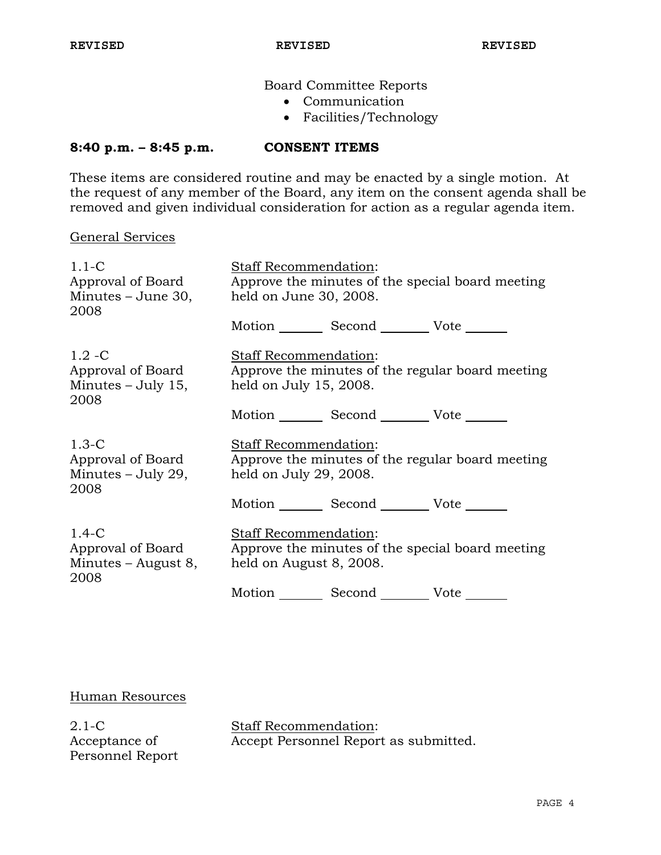Board Committee Reports

- Communication
- Facilities/Technology

## **8:40 p.m. – 8:45 p.m. CONSENT ITEMS**

These items are considered routine and may be enacted by a single motion. At the request of any member of the Board, any item on the consent agenda shall be removed and given individual consideration for action as a regular agenda item.

## General Services

| $1.1-C$<br>Approval of Board<br>Minutes – June 30,<br>2008   | Staff Recommendation:<br>Approve the minutes of the special board meeting<br>held on June 30, 2008.  |  |
|--------------------------------------------------------------|------------------------------------------------------------------------------------------------------|--|
|                                                              | Motion Second Vote                                                                                   |  |
| $1.2 - C$<br>Approval of Board<br>Minutes – July 15,<br>2008 | Staff Recommendation:<br>Approve the minutes of the regular board meeting<br>held on July 15, 2008.  |  |
|                                                              | Motion _________ Second __________ Vote _______                                                      |  |
| $1.3-C$<br>Approval of Board<br>Minutes $-$ July 29,<br>2008 | Staff Recommendation:<br>Approve the minutes of the regular board meeting<br>held on July 29, 2008.  |  |
|                                                              | Motion Second Vote                                                                                   |  |
| $1.4-C$<br>Approval of Board<br>Minutes – August 8,<br>2008  | Staff Recommendation:<br>Approve the minutes of the special board meeting<br>held on August 8, 2008. |  |
|                                                              | Motion<br>Second _______<br>Vote                                                                     |  |

## Human Resources

2.1-C Acceptance of Personnel Report

Staff Recommendation: Accept Personnel Report as submitted.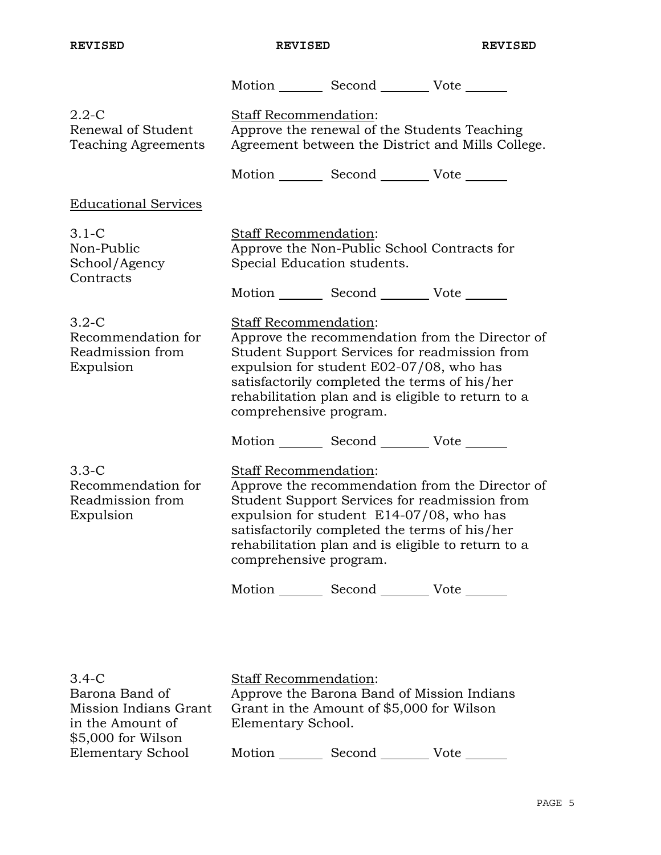in the Amount of \$5,000 for Wilson Elementary School

**REVISED REVISED REVISED** 

|                                                                  |                                                                                                                                                                                                                                                                                                               | Motion Second Vote                                                                                                                                                                               |                                                 |
|------------------------------------------------------------------|---------------------------------------------------------------------------------------------------------------------------------------------------------------------------------------------------------------------------------------------------------------------------------------------------------------|--------------------------------------------------------------------------------------------------------------------------------------------------------------------------------------------------|-------------------------------------------------|
| $2.2 - C$<br>Renewal of Student<br><b>Teaching Agreements</b>    | Staff Recommendation:<br>Approve the renewal of the Students Teaching<br>Agreement between the District and Mills College.                                                                                                                                                                                    |                                                                                                                                                                                                  |                                                 |
|                                                                  |                                                                                                                                                                                                                                                                                                               | Motion _________ Second __________ Vote _______                                                                                                                                                  |                                                 |
| <b>Educational Services</b>                                      |                                                                                                                                                                                                                                                                                                               |                                                                                                                                                                                                  |                                                 |
| $3.1-C$<br>Non-Public<br>School/Agency                           | Staff Recommendation:<br>Special Education students.                                                                                                                                                                                                                                                          | Approve the Non-Public School Contracts for                                                                                                                                                      |                                                 |
| Contracts                                                        |                                                                                                                                                                                                                                                                                                               | Motion _________ Second __________ Vote _______                                                                                                                                                  |                                                 |
| $3.2 - C$<br>Recommendation for<br>Readmission from<br>Expulsion | <b>Staff Recommendation:</b><br>Approve the recommendation from the Director of<br>Student Support Services for readmission from<br>expulsion for student E02-07/08, who has<br>satisfactorily completed the terms of his/her<br>rehabilitation plan and is eligible to return to a<br>comprehensive program. |                                                                                                                                                                                                  |                                                 |
|                                                                  |                                                                                                                                                                                                                                                                                                               | Motion _________ Second __________ Vote _______                                                                                                                                                  |                                                 |
| $3.3-C$<br>Recommendation for<br>Readmission from<br>Expulsion   | Staff Recommendation:<br>comprehensive program.                                                                                                                                                                                                                                                               | Student Support Services for readmission from<br>expulsion for student E14-07/08, who has<br>satisfactorily completed the terms of his/her<br>rehabilitation plan and is eligible to return to a | Approve the recommendation from the Director of |
|                                                                  |                                                                                                                                                                                                                                                                                                               | Motion _________ Second __________ Vote _______                                                                                                                                                  |                                                 |
| $3.4-C$                                                          | Staff Recommendation:                                                                                                                                                                                                                                                                                         |                                                                                                                                                                                                  |                                                 |
| Barona Band of<br>Mission Indians Grant                          |                                                                                                                                                                                                                                                                                                               | Approve the Barona Band of Mission Indians<br>Grant in the Amount of \$5,000 for Wilson                                                                                                          |                                                 |

Motion Second Vote

Elementary School.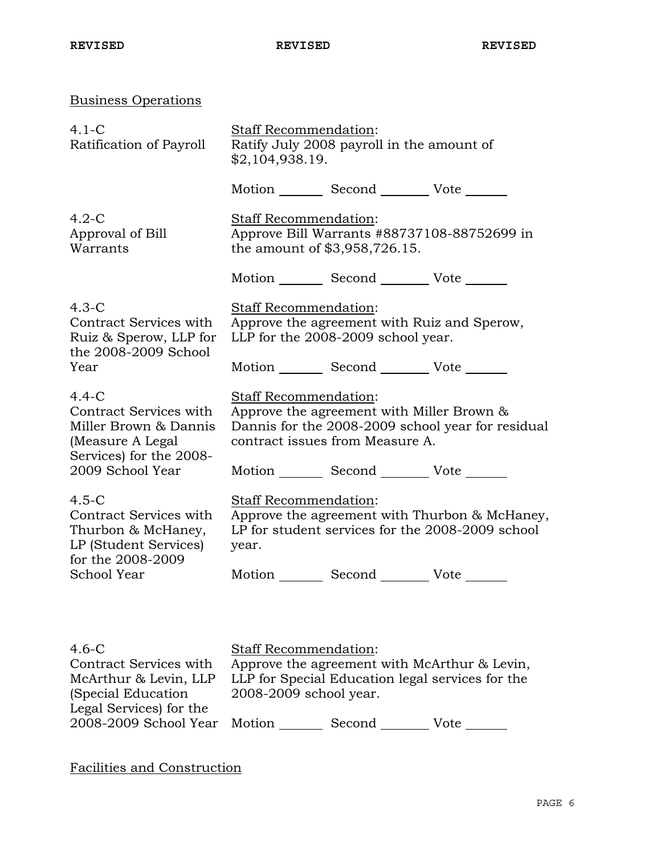| <b>Business Operations</b>                                                                                           |                                                                                                                                                                   |                                    |                                                 |  |
|----------------------------------------------------------------------------------------------------------------------|-------------------------------------------------------------------------------------------------------------------------------------------------------------------|------------------------------------|-------------------------------------------------|--|
| $4.1-C$<br>Ratification of Payroll                                                                                   | Staff Recommendation:<br>Ratify July 2008 payroll in the amount of<br>\$2,104,938.19.                                                                             |                                    |                                                 |  |
|                                                                                                                      |                                                                                                                                                                   |                                    | Motion _________ Second __________ Vote _______ |  |
| $4.2-C$<br>Approval of Bill<br>Warrants                                                                              | Staff Recommendation:<br>Approve Bill Warrants #88737108-88752699 in<br>the amount of \$3,958,726.15.                                                             |                                    |                                                 |  |
|                                                                                                                      |                                                                                                                                                                   |                                    | Motion Second Vote ______                       |  |
| $4.3-C$<br>Contract Services with<br>Ruiz & Sperow, LLP for<br>the 2008-2009 School                                  | Staff Recommendation:                                                                                                                                             | LLP for the 2008-2009 school year. | Approve the agreement with Ruiz and Sperow,     |  |
| Year                                                                                                                 |                                                                                                                                                                   |                                    | Motion _________ Second __________ Vote _______ |  |
| $4.4-C$<br>Contract Services with<br>Miller Brown & Dannis<br>(Measure A Legal<br>Services) for the 2008-            | <b>Staff Recommendation:</b><br>Approve the agreement with Miller Brown &<br>Dannis for the 2008-2009 school year for residual<br>contract issues from Measure A. |                                    |                                                 |  |
| 2009 School Year                                                                                                     |                                                                                                                                                                   |                                    | Motion _________ Second __________ Vote _______ |  |
| $4.5-C$<br>Contract Services with<br>Thurbon & McHaney,<br>LP (Student Services)<br>for the 2008-2009<br>School Year | Staff Recommendation:<br>Approve the agreement with Thurbon & McHaney,<br>LP for student services for the 2008-2009 school<br>year.                               |                                    |                                                 |  |
|                                                                                                                      |                                                                                                                                                                   |                                    | Motion _________ Second __________ Vote _______ |  |
|                                                                                                                      |                                                                                                                                                                   |                                    |                                                 |  |
| $4.6-C$<br>Contract Services with $\Delta$ purove the agreement with $M_0 \Delta$ rthur $\&$ Levin                   | Staff Recommendation:                                                                                                                                             |                                    |                                                 |  |

Contract Services with McArthur & Levin, LLP (Special Education Legal Services) for the 2008-2009 School Year Motion \_\_\_\_\_\_\_\_ Second \_\_\_\_\_\_\_\_ Vote Approve the agreement with McArthur & Levin, LLP for Special Education legal services for the 2008-2009 school year.

Facilities and Construction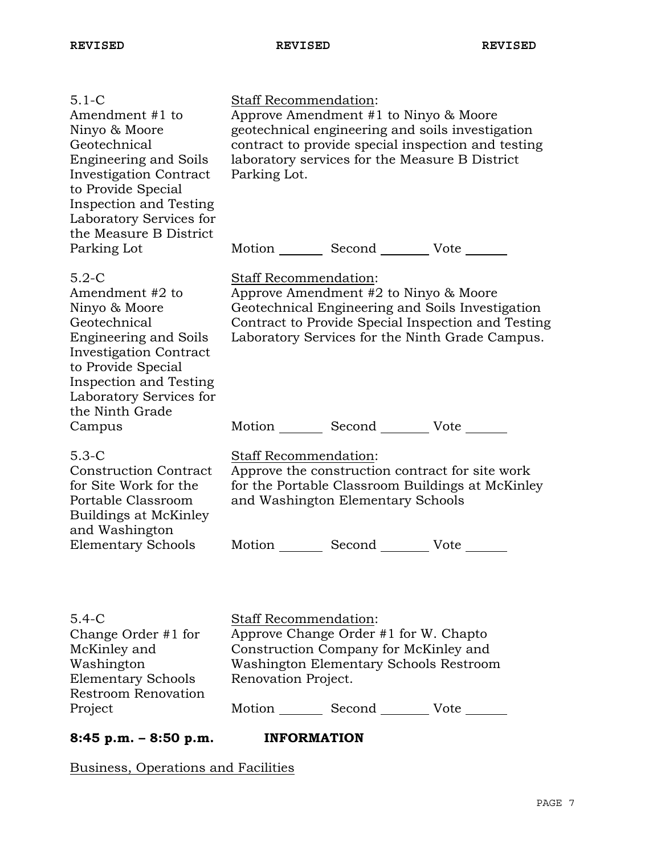| $5.1 - C$<br>Amendment #1 to<br>Ninyo & Moore<br>Geotechnical<br><b>Engineering and Soils</b><br><b>Investigation Contract</b><br>to Provide Special<br><b>Inspection and Testing</b><br>Laboratory Services for<br>the Measure B District | <b>Staff Recommendation:</b><br>Approve Amendment #1 to Ninyo & Moore<br>geotechnical engineering and soils investigation<br>contract to provide special inspection and testing<br>laboratory services for the Measure B District<br>Parking Lot. |
|--------------------------------------------------------------------------------------------------------------------------------------------------------------------------------------------------------------------------------------------|---------------------------------------------------------------------------------------------------------------------------------------------------------------------------------------------------------------------------------------------------|
| Parking Lot                                                                                                                                                                                                                                | Motion _________ Second __________ Vote _______                                                                                                                                                                                                   |
| $5.2-C$<br>Amendment #2 to<br>Ninyo & Moore<br>Geotechnical<br><b>Engineering and Soils</b><br><b>Investigation Contract</b><br>to Provide Special<br><b>Inspection and Testing</b><br>Laboratory Services for<br>the Ninth Grade          | Staff Recommendation:<br>Approve Amendment #2 to Ninyo & Moore<br>Geotechnical Engineering and Soils Investigation<br>Contract to Provide Special Inspection and Testing<br>Laboratory Services for the Ninth Grade Campus.                       |
| Campus                                                                                                                                                                                                                                     | Motion _________ Second __________ Vote _______                                                                                                                                                                                                   |
| $5.3-C$<br><b>Construction Contract</b><br>for Site Work for the<br>Portable Classroom<br>Buildings at McKinley<br>and Washington                                                                                                          | <b>Staff Recommendation:</b><br>Approve the construction contract for site work<br>for the Portable Classroom Buildings at McKinley<br>and Washington Elementary Schools                                                                          |
| <b>Elementary Schools</b>                                                                                                                                                                                                                  | Motion _________ Second _________ Vote _______                                                                                                                                                                                                    |
| $5.4 - C$<br>Change Order #1 for<br>McKinley and<br>Washington<br><b>Elementary Schools</b><br><b>Restroom Renovation</b><br>Project                                                                                                       | <b>Staff Recommendation:</b><br>Approve Change Order #1 for W. Chapto<br>Construction Company for McKinley and<br>Washington Elementary Schools Restroom<br>Renovation Project.<br>Motion Second Vote                                             |
| $8:45$ p.m. $-8:50$ p.m.                                                                                                                                                                                                                   | <b>INFORMATION</b>                                                                                                                                                                                                                                |
|                                                                                                                                                                                                                                            |                                                                                                                                                                                                                                                   |

Business, Operations and Facilities